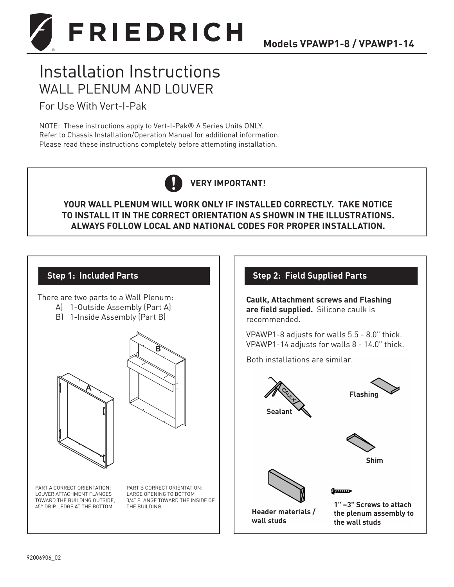

# Installation Instructions WALL PLENUM AND LOUVER

For Use With Vert-I-Pak

NOTE: These instructions apply to Vert-I-Pak® A Series Units ONLY. Refer to Chassis Installation/Operation Manual for additional information. Please read these instructions completely before attempting installation.



**YOUR WALL PLENUM WILL WORK ONLY IF INSTALLED CORRECTLY. TAKE NOTICE TO INSTALL IT IN THE CORRECT ORIENTATION AS SHOWN IN THE ILLUSTRATIONS. ALWAYS FOLLOW LOCAL AND NATIONAL CODES FOR PROPER INSTALLATION.**

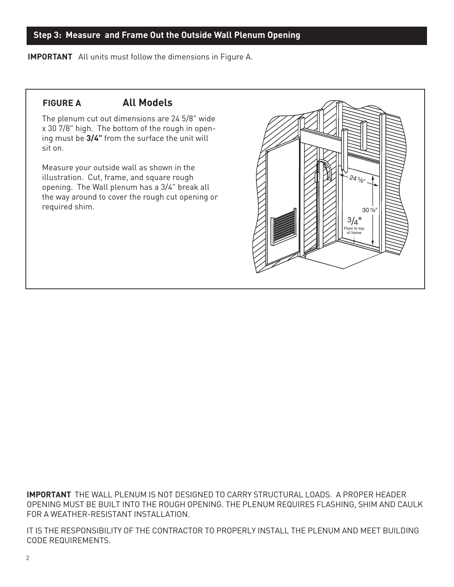#### **Step 3: Measure and Frame Out the Outside Wall Plenum Opening**

**IMPORTANT** All units must follow the dimensions in Figure A.

## **FIGURE A All Models**

The plenum cut out dimensions are 24 5/8" wide x 30 7/8" high. The bottom of the rough in opening must be **3/4"** from the surface the unit will sit on.

Measure your outside wall as shown in the illustration. Cut, frame, and square rough opening. The Wall plenum has a 3/4" break all the way around to cover the rough cut opening or required shim.



**IMPORTANT** THE WALL PLENUM IS NOT DESIGNED TO CARRY STRUCTURAL LOADS. A PROPER HEADER OPENING MUST BE BUILT INTO THE ROUGH OPENING. THE PLENUM REQUIRES FLASHING, SHIM AND CAULK FOR A WEATHER-RESISTANT INSTALLATION.

IT IS THE RESPONSIBILITY OF THE CONTRACTOR TO PROPERLY INSTALL THE PLENUM AND MEET BUILDING CODE REQUIREMENTS.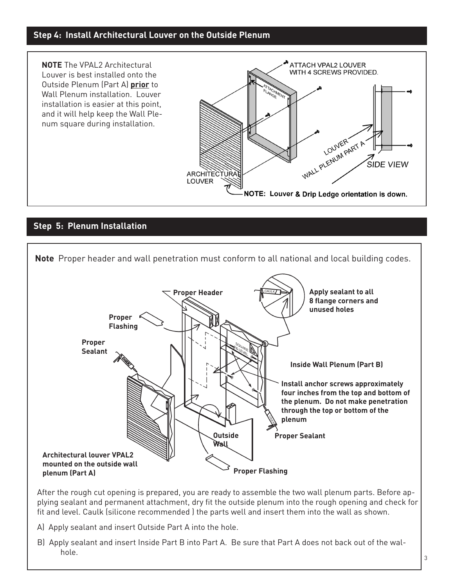#### **Step 4: Install Architectural Louver on the Outside Plenum**



#### **Step 5: Plenum Installation**



After the rough cut opening is prepared, you are ready to assemble the two wall plenum parts. Before applying sealant and permanent attachment, dry fit the outside plenum into the rough opening and check for fit and level. Caulk (silicone recommended ) the parts well and insert them into the wall as shown.

- A) Apply sealant and insert Outside Part A into the hole.
- B) Apply sealant and insert Inside Part B into Part A. Be sure that Part A does not back out of the walhole.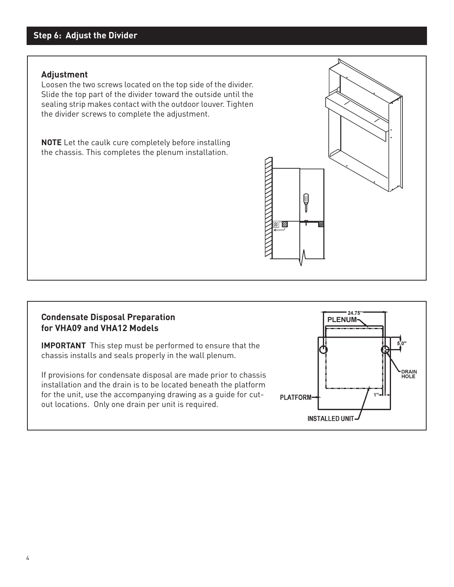## **Step 6: Adjust the Divider**

#### **Adjustment**

Loosen the two screws located on the top side of the divider. Slide the top part of the divider toward the outside until the sealing strip makes contact with the outdoor louver. Tighten the divider screws to complete the adjustment.

**NOTE** Let the caulk cure completely before installing the chassis. This completes the plenum installation.



#### **Condensate Disposal Preparation for VHA09 and VHA12 Models**

**IMPORTANT** This step must be performed to ensure that the chassis installs and seals properly in the wall plenum.

If provisions for condensate disposal are made prior to chassis installation and the drain is to be located beneath the platform for the unit, use the accompanying drawing as a guide for cutout locations. Only one drain per unit is required.